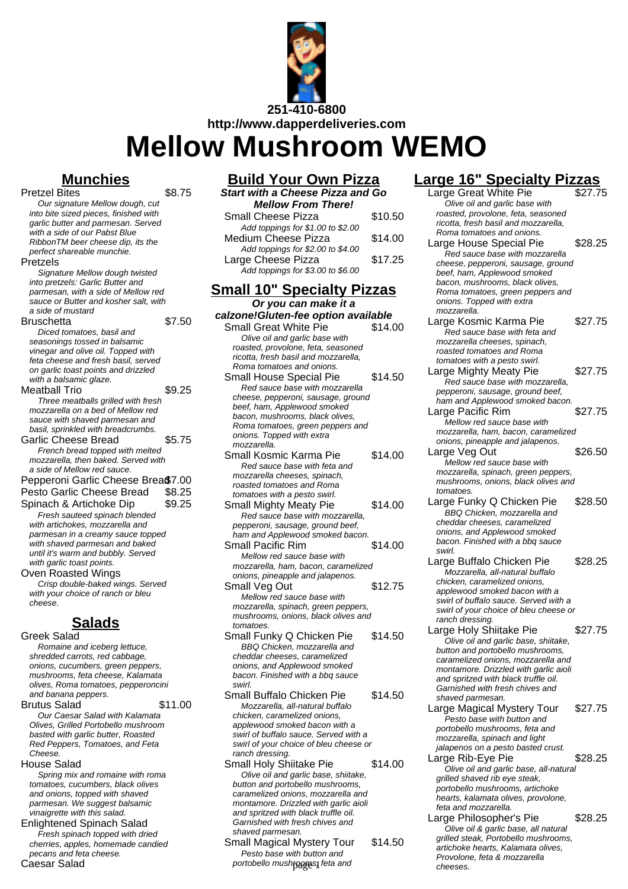

**Mellow Mushroom WEMO**

**Munchies** Pretzel Bites \$8.75 Our signature Mellow dough, cut into bite sized pieces, finished with garlic butter and parmesan. Served with a side of our Pabst Blue RibbonTM beer cheese dip, its the perfect shareable munchie. Pretzels Signature Mellow dough twisted into pretzels: Garlic Butter and parmesan, with a side of Mellow red sauce or Butter and kosher salt, with a side of mustard Bruschetta \$7.50 Diced tomatoes, basil and seasonings tossed in balsamic vinegar and olive oil. Topped with feta cheese and fresh basil, served on garlic toast points and drizzled with a balsamic glaze. Meatball Trio \$9.25 Three meatballs grilled with fresh mozzarella on a bed of Mellow red sauce with shaved parmesan and basil, sprinkled with breadcrumbs. Garlic Cheese Bread \$5.75 French bread topped with melted mozzarella, then baked. Served with a side of Mellow red sauce. Pepperoni Garlic Cheese Bread\$7.00 Pesto Garlic Cheese Bread \$8.25 Spinach & Artichoke Dip \$9.25 Fresh sauteed spinach blended with artichokes, mozzarella and parmesan in a creamy sauce topped with shaved parmesan and baked until it's warm and bubbly. Served with garlic toast points. Oven Roasted Wings Crisp double-baked wings. Served with your choice of ranch or bleu cheese. **Salads** Greek Salad

Romaine and iceberg lettuce, shredded carrots, red cabbage, onions, cucumbers, green peppers, mushrooms, feta cheese, Kalamata olives, Roma tomatoes, pepperoncini and banana peppers. Brutus Salad \$11.00 Our Caesar Salad with Kalamata Olives, Grilled Portobello mushroom basted with garlic butter, Roasted Red Peppers, Tomatoes, and Feta Cheese. House Salad Spring mix and romaine with roma tomatoes, cucumbers, black olives and onions, topped with shaved parmesan. We suggest balsamic vinaigrette with this salad. Enlightened Spinach Salad Fresh spinach topped with dried

# cherries, apples, homemade candied pecans and feta cheese. Caesar Salad

# **Build Your Own Pizza**

**Start with a Cheese Pizza and Go Mellow From There!** Small Cheese Pizza \$10.50 Add toppings for \$1.00 to \$2.00 Medium Cheese Pizza \$14.00 Add toppings for \$2.00 to \$4.00 Large Cheese Pizza \$17.25 Add toppings for \$3.00 to \$6.00 **Small 10" Specialty Pizzas Or you can make it a calzone!Gluten-fee option available** Small Great White Pie Olive oil and garlic base with

roasted, provolone, feta, seasoned ricotta, fresh basil and mozzarella, Roma tomatoes and onions. Small House Special Pie \$14.50 Red sauce base with mozzarella cheese, pepperoni, sausage, ground beef, ham, Applewood smoked bacon, mushrooms, black olives, Roma tomatoes, green peppers and onions. Topped with extra mozzarella. Small Kosmic Karma Pie \$14.00 Red sauce base with feta and mozzarella cheeses, spinach, roasted tomatoes and Roma tomatoes with a pesto swirl. Small Mighty Meaty Pie \$14.00 Red sauce base with mozzarella, pepperoni, sausage, ground beef, ham and Applewood smoked bacon. Small Pacific Rim \$14.00 Mellow red sauce base with mozzarella, ham, bacon, caramelized

onions, pineapple and jalapenos. Small Veg Out \$12.75 Mellow red sauce base with mozzarella, spinach, green peppers, mushrooms, onions, black olives and tomatoes.

- Small Funky Q Chicken Pie \$14.50 BBQ Chicken, mozzarella and cheddar cheeses, caramelized onions, and Applewood smoked bacon. Finished with a bbq sauce swirl.
- Small Buffalo Chicken Pie \$14.50 Mozzarella, all-natural buffalo chicken, caramelized onions, applewood smoked bacon with a swirl of buffalo sauce. Served with a swirl of your choice of bleu cheese or ranch dressing.
- Small Holy Shiitake Pie \$14.00 Olive oil and garlic base, shiitake, button and portobello mushrooms, caramelized onions, mozzarella and montamore. Drizzled with garlic aioli and spritzed with black truffle oil. Garnished with fresh chives and shaved parmesan.
- Small Magical Mystery Tour \$14.50 Pesto base with button and portobello mush<sub>for</sub>ages feta and the cheeses.

# **Large 16" Specialty Pizzas**

Large Great White Pie Olive oil and garlic base with roasted, provolone, feta, seasoned ricotta, fresh basil and mozzarella, Roma tomatoes and onions. Large House Special Pie \$28.25 Red sauce base with mozzarella cheese, pepperoni, sausage, ground beef, ham, Applewood smoked bacon, mushrooms, black olives, Roma tomatoes, green peppers and onions. Topped with extra mozzarella. Large Kosmic Karma Pie \$27.75 Red sauce base with feta and mozzarella cheeses, spinach, roasted tomatoes and Roma tomatoes with a pesto swirl. Large Mighty Meaty Pie \$27.75 Red sauce base with mozzarella, pepperoni, sausage, ground beef, ham and Applewood smoked bacon. Large Pacific Rim \$27.75 Mellow red sauce base with mozzarella, ham, bacon, caramelized onions, pineapple and jalapenos. Large Veg Out \$26.50 Mellow red sauce base with mozzarella, spinach, green peppers, mushrooms, onions, black olives and tomatoes. Large Funky Q Chicken Pie \$28.50 BBQ Chicken, mozzarella and cheddar cheeses, caramelized onions, and Applewood smoked bacon. Finished with a bbq sauce swirl. Large Buffalo Chicken Pie \$28.25

- Mozzarella, all-natural buffalo chicken, caramelized onions, applewood smoked bacon with a swirl of buffalo sauce. Served with a swirl of your choice of bleu cheese or ranch dressing.
- Large Holy Shiitake Pie \$27.75 Olive oil and garlic base, shiitake, button and portobello mushrooms, caramelized onions, mozzarella and montamore. Drizzled with garlic aioli and spritzed with black truffle oil. Garnished with fresh chives and shaved parmesan.
- Large Magical Mystery Tour \$27.75 Pesto base with button and portobello mushrooms, feta and mozzarella, spinach and light jalapenos on a pesto basted crust.
- Large Rib-Eye Pie \$28.25 Olive oil and garlic base, all-natural grilled shaved rib eye steak, portobello mushrooms, artichoke hearts, kalamata olives, provolone, feta and mozzarella.
- Large Philosopher's Pie \$28.25 Olive oil & garlic base, all natural grilled steak, Portobello mushrooms, artichoke hearts, Kalamata olives, Provolone, feta & mozzarella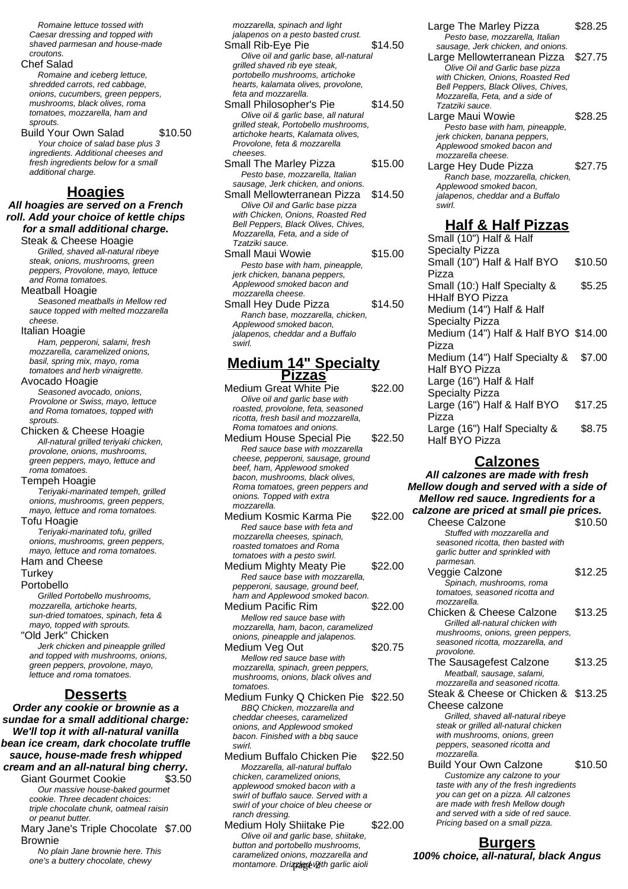Romaine lettuce tossed with Caesar dressing and topped with shaved parmesan and house-made croutons.

#### Chef Salad

Romaine and iceberg lettuce, shredded carrots, red cabbage, onions, cucumbers, green peppers, mushrooms, black olives, roma tomatoes, mozzarella, ham and sprouts.

Build Your Own Salad \$10.50 Your choice of salad base plus 3 ingredients. Additional cheeses and fresh ingredients below for a small additional charge.

## **Hoagies**

**All hoagies are served on a French roll. Add your choice of kettle chips for a small additional charge.**

Steak & Cheese Hoagie Grilled, shaved all-natural ribeye steak, onions, mushrooms, green peppers, Provolone, mayo, lettuce and Roma tomatoes.

#### Meatball Hoagie

Seasoned meatballs in Mellow red sauce topped with melted mozzarella cheese.

#### Italian Hoagie

Ham, pepperoni, salami, fresh mozzarella, caramelized onions, basil, spring mix, mayo, roma tomatoes and herb vinaigrette.

#### Avocado Hoagie

Seasoned avocado, onions, Provolone or Swiss, mayo, lettuce and Roma tomatoes, topped with sprouts.

- Chicken & Cheese Hoagie All-natural grilled teriyaki chicken, provolone, onions, mushrooms, green peppers, mayo, lettuce and roma tomatoes.
- Tempeh Hoagie

Teriyaki-marinated tempeh, grilled onions, mushrooms, green peppers, mayo, lettuce and roma tomatoes.

Tofu Hoagie Teriyaki-marinated tofu, grilled

onions, mushrooms, green peppers, mayo, lettuce and roma tomatoes. Ham and Cheese

# **Turkey**

## Portobello

Grilled Portobello mushrooms, mozzarella, artichoke hearts, sun-dried tomatoes, spinach, feta & mayo, topped with sprouts.

"Old Jerk" Chicken

Jerk chicken and pineapple grilled and topped with mushrooms, onions, green peppers, provolone, mayo, lettuce and roma tomatoes.

## **Desserts**

**Order any cookie or brownie as a sundae for a small additional charge: We'll top it with all-natural vanilla bean ice cream, dark chocolate truffle sauce, house-made fresh whipped cream and an all-natural bing cherry.**

- Giant Gourmet Cookie \$3.50 Our massive house-baked gourmet cookie. Three decadent choices: triple chocolate chunk, oatmeal raisin or peanut butter.
- Mary Jane's Triple Chocolate \$7.00 **Brownie**

No plain Jane brownie here. This one's a buttery chocolate, chewy

- mozzarella, spinach and light jalapenos on a pesto basted crust. Small Rib-Eye Pie \$14.50 Olive oil and garlic base, all-natural grilled shaved rib eye steak, portobello mushrooms, artichoke hearts, kalamata olives, provolone, feta and mozzarella. Small Philosopher's Pie \$14.50 Olive oil & garlic base, all natural grilled steak, Portobello mushrooms, artichoke hearts, Kalamata olives, Provolone, feta & mozzarella cheeses. Small The Marley Pizza \$15.00 Pesto base, mozzarella, Italian sausage, Jerk chicken, and onions. Small Mellowterranean Pizza \$14.50 Olive Oil and Garlic base pizza with Chicken, Onions, Roasted Red Bell Peppers, Black Olives, Chives,
- Tzatziki sauce. Small Maui Wowie  $$15.00$ Pesto base with ham, pineapple, jerk chicken, banana peppers, Applewood smoked bacon and mozzarella cheese.

Mozzarella, Feta, and a side of

Small Hey Dude Pizza \$14.50 Ranch base, mozzarella, chicken, Applewood smoked bacon, jalapenos, cheddar and a Buffalo swirl.

### **Medium 14" Specialty Pizzas**

Medium Great White Pie \$22.00 Olive oil and garlic base with roasted, provolone, feta, seasoned ricotta, fresh basil and mozzarella, Roma tomatoes and onions.

- Medium House Special Pie \$22.50 Red sauce base with mozzarella cheese, pepperoni, sausage, ground beef, ham, Applewood smoked bacon, mushrooms, black olives, Roma tomatoes, green peppers and onions. Topped with extra mozzarella.
- Medium Kosmic Karma Pie \$22.00 Red sauce base with feta and mozzarella cheeses, spinach, roasted tomatoes and Roma tomatoes with a pesto swirl. Medium Mighty Meaty Pie \$22.00
- Red sauce base with mozzarella, pepperoni, sausage, ground beef, ham and Applewood smoked bacon.
- Medium Pacific Rim \$22.00 Mellow red sauce base with mozzarella, ham, bacon, caramelized onions, pineapple and jalapenos.
- Medium Veg Out \$20.75 Mellow red sauce base with mozzarella, spinach, green peppers, mushrooms, onions, black olives and tomatoes
- Medium Funky Q Chicken Pie \$22.50 BBQ Chicken, mozzarella and cheddar cheeses, caramelized onions, and Applewood smoked bacon. Finished with a bbq sauce swirl.
- Medium Buffalo Chicken Pie \$22.50 Mozzarella, all-natural buffalo chicken, caramelized onions, applewood smoked bacon with a swirl of buffalo sauce. Served with a swirl of your choice of bleu cheese or ranch dressing.
- Medium Holy Shiitake Pie \$22.00 Olive oil and garlic base, shiitake, button and portobello mushrooms, caramelized onions, mozzarella and montamore. Drizzled with garlic aioli

Large The Marley Pizza \$28.25 Pesto base, mozzarella, Italian sausage, Jerk chicken, and onions.

- Large Mellowterranean Pizza \$27.75 Olive Oil and Garlic base pizza with Chicken, Onions, Roasted Red Bell Peppers, Black Olives, Chives, Mozzarella, Feta, and a side of Tzatziki sauce.
- Large Maui Wowie  $$28.25$ Pesto base with ham, pineapple, jerk chicken, banana peppers, Applewood smoked bacon and mozzarella cheese.
- Large Hey Dude Pizza \$27.75 Ranch base, mozzarella, chicken, Applewood smoked bacon, jalapenos, cheddar and a Buffalo swirl.

# **Half & Half Pizzas**

Small (10") Half & Half Specialty Pizza Small (10") Half & Half BYO Pizza \$10.50 Small (10:) Half Specialty & HHalf BYO Pizza \$5.25 Medium (14") Half & Half Specialty Pizza Medium (14") Half & Half BYO \$14.00 Pizza Medium (14") Half Specialty & Half BYO Pizza \$7.00 Large (16") Half & Half Specialty Pizza Large (16") Half & Half BYO Pizza \$17.25 Large (16") Half Specialty & Half BYO Pizza \$8.75

# **Calzones**

**All calzones are made with fresh Mellow dough and served with a side of Mellow red sauce. Ingredients for a calzone are priced at small pie prices.** Cheese Calzone \$10.50 Stuffed with mozzarella and seasoned ricotta, then basted with garlic butter and sprinkled with parmesan. Veggie Calzone \$12.25 Spinach, mushrooms, roma tomatoes, seasoned ricotta and mozzarella. Chicken & Cheese Calzone \$13.25 Grilled all-natural chicken with mushrooms, onions, green peppers, seasoned ricotta, mozzarella, and provolone. The Sausagefest Calzone \$13.25 Meatball, sausage, salami, mozzarella and seasoned ricotta. Steak & Cheese or Chicken & \$13.25 Cheese calzone Grilled, shaved all-natural ribeye steak or grilled all-natural chicken with mushrooms, onions, areen peppers, seasoned ricotta and mozzarella. Build Your Own Calzone \$10.50 Customize any calzone to your taste with any of the fresh ingredients you can get on a pizza. All calzones are made with fresh Mellow dough and served with a side of red sauce. Pricing based on a small pizza.

## **Burgers**

**100% choice, all-natural, black Angus**